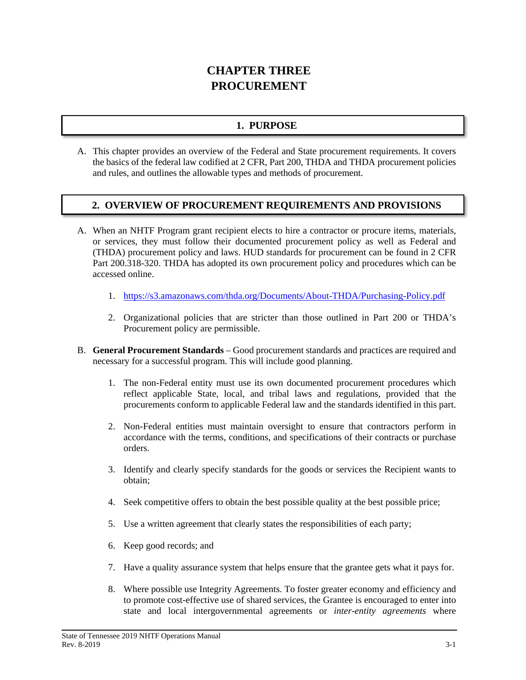# **CHAPTER THREE PROCUREMENT**

# **1. PURPOSE**

A. This chapter provides an overview of the Federal and State procurement requirements. It covers the basics of the federal law codified at 2 CFR, Part 200, THDA and THDA procurement policies and rules, and outlines the allowable types and methods of procurement.

## **2. OVERVIEW OF PROCUREMENT REQUIREMENTS AND PROVISIONS**

- A. When an NHTF Program grant recipient elects to hire a contractor or procure items, materials, or services, they must follow their documented procurement policy as well as Federal and (THDA) procurement policy and laws. HUD standards for procurement can be found in 2 CFR Part 200.318-320. THDA has adopted its own procurement policy and procedures which can be accessed online.
	- 1. <https://s3.amazonaws.com/thda.org/Documents/About-THDA/Purchasing-Policy.pdf>
	- 2. Organizational policies that are stricter than those outlined in Part 200 or THDA's Procurement policy are permissible.
- B. **General Procurement Standards** Good procurement standards and practices are required and necessary for a successful program. This will include good planning.
	- 1. The non-Federal entity must use its own documented procurement procedures which reflect applicable State, local, and tribal laws and regulations, provided that the procurements conform to applicable Federal law and the standards identified in this part.
	- 2. Non-Federal entities must maintain oversight to ensure that contractors perform in accordance with the terms, conditions, and specifications of their contracts or purchase orders.
	- 3. Identify and clearly specify standards for the goods or services the Recipient wants to obtain;
	- 4. Seek competitive offers to obtain the best possible quality at the best possible price;
	- 5. Use a written agreement that clearly states the responsibilities of each party;
	- 6. Keep good records; and
	- 7. Have a quality assurance system that helps ensure that the grantee gets what it pays for.
	- 8. Where possible use Integrity Agreements. To foster greater economy and efficiency and to promote cost-effective use of shared services, the Grantee is encouraged to enter into state and local intergovernmental agreements or *inter-entity agreements* where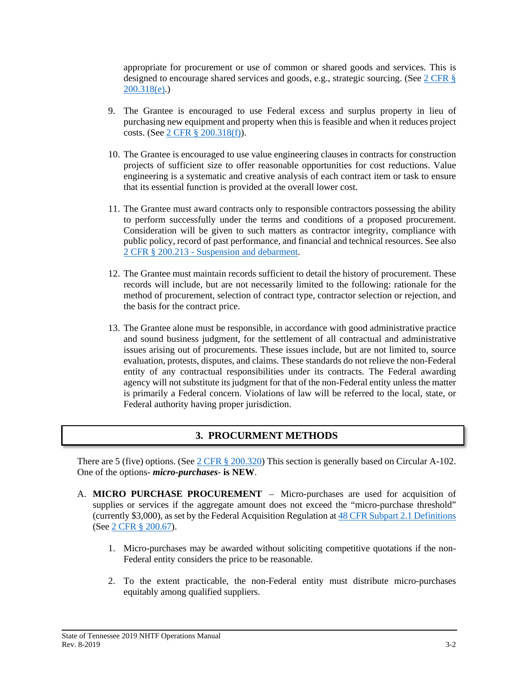appropriate for procurement or use of common or shared goods and services. This is designed to encourage shared services and goods, e.g., strategic sourcing. (See [2 CFR §](https://www.gpo.gov/fdsys/pkg/CFR-2014-title2-vol1/pdf/CFR-2014-title2-vol1-sec200-318.pdf)  $200.318(e)$ .)

- 9. The Grantee is encouraged to use Federal excess and surplus property in lieu of purchasing new equipment and property when this is feasible and when it reduces project costs. (See 2 CFR § [200.318\(f\)\)](https://www.gpo.gov/fdsys/pkg/CFR-2014-title2-vol1/pdf/CFR-2014-title2-vol1-sec200-318.pdf).
- 10. The Grantee is encouraged to use value engineering clauses in contracts for construction projects of sufficient size to offer reasonable opportunities for cost reductions. Value engineering is a systematic and creative analysis of each contract item or task to ensure that its essential function is provided at the overall lower cost.
- 11. The Grantee must award contracts only to responsible contractors possessing the ability to perform successfully under the terms and conditions of a proposed procurement. Consideration will be given to such matters as contractor integrity, compliance with public policy, record of past performance, and financial and technical resources. See also 2 CFR § 200.213 - [Suspension and debarment.](https://www.gpo.gov/fdsys/pkg/CFR-2017-title2-vol1/pdf/CFR-2017-title2-vol1-sec200-213.pdf)
- 12. The Grantee must maintain records sufficient to detail the history of procurement. These records will include, but are not necessarily limited to the following: rationale for the method of procurement, selection of contract type, contractor selection or rejection, and the basis for the contract price.
- 13. The Grantee alone must be responsible, in accordance with good administrative practice and sound business judgment, for the settlement of all contractual and administrative issues arising out of procurements. These issues include, but are not limited to, source evaluation, protests, disputes, and claims. These standards do not relieve the non-Federal entity of any contractual responsibilities under its contracts. The Federal awarding agency will not substitute its judgment for that of the non-Federal entity unless the matter is primarily a Federal concern. Violations of law will be referred to the local, state, or Federal authority having proper jurisdiction.

### **3. PROCURMENT METHODS**

There are 5 (five) options. (See  $2$  CFR § [200.320\)](https://www.gpo.gov/fdsys/pkg/CFR-2018-title2-vol1/pdf/CFR-2018-title2-vol1-sec200-320.pdf) This section is generally based on Circular A-102. One of the options- *micro-purchases*- **is NEW**.

- A. **MICRO PURCHASE PROCUREMENT** Micro-purchases are used for acquisition of supplies or services if the aggregate amount does not exceed the "micro-purchase threshold" (currently \$3,000), as set by the Federal Acquisition Regulation at [48 CFR Subpart 2.1 Definitions](https://www.gpo.gov/fdsys/pkg/CFR-2002-title48-vol1/pdf/CFR-2002-title48-vol1-part2-subpart2-1.pdf) (See 2 [CFR § 200.67\)](https://www.gpo.gov/fdsys/pkg/CFR-2014-title2-vol1/pdf/CFR-2014-title2-vol1-sec200-67.pdf).
	- 1. Micro-purchases may be awarded without soliciting competitive quotations if the non-Federal entity considers the price to be reasonable.
	- 2. To the extent practicable, the non-Federal entity must distribute micro-purchases equitably among qualified suppliers.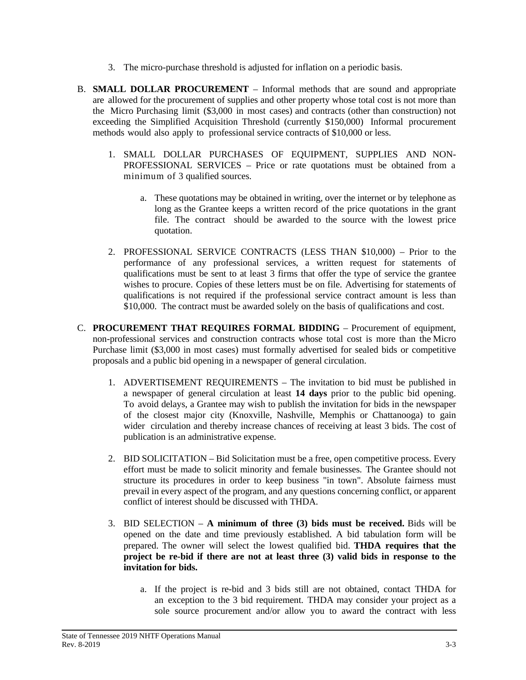- 3. The micro-purchase threshold is adjusted for inflation on a periodic basis.
- B. **SMALL DOLLAR PROCUREMENT** Informal methods that are sound and appropriate are allowed for the procurement of supplies and other property whose total cost is not more than the Micro Purchasing limit (\$3,000 in most cases) and contracts (other than construction) not exceeding the Simplified Acquisition Threshold (currently \$150,000) Informal procurement methods would also apply to professional service contracts of \$10,000 or less.
	- 1. SMALL DOLLAR PURCHASES OF EQUIPMENT, SUPPLIES AND NON-PROFESSIONAL SERVICES – Price or rate quotations must be obtained from a minimum of 3 qualified sources.
		- a. These quotations may be obtained in writing, over the internet or by telephone as long as the Grantee keeps a written record of the price quotations in the grant file. The contract should be awarded to the source with the lowest price quotation.
	- 2. PROFESSIONAL SERVICE CONTRACTS (LESS THAN \$10,000) Prior to the performance of any professional services, a written request for statements of qualifications must be sent to at least 3 firms that offer the type of service the grantee wishes to procure. Copies of these letters must be on file. Advertising for statements of qualifications is not required if the professional service contract amount is less than \$10,000. The contract must be awarded solely on the basis of qualifications and cost.
- C. **PROCUREMENT THAT REQUIRES FORMAL BIDDING** Procurement of equipment, non-professional services and construction contracts whose total cost is more than the Micro Purchase limit (\$3,000 in most cases) must formally advertised for sealed bids or competitive proposals and a public bid opening in a newspaper of general circulation.
	- 1. ADVERTISEMENT REQUIREMENTS The invitation to bid must be published in a newspaper of general circulation at least **14 days** prior to the public bid opening. To avoid delays, a Grantee may wish to publish the invitation for bids in the newspaper of the closest major city (Knoxville, Nashville, Memphis or Chattanooga) to gain wider circulation and thereby increase chances of receiving at least 3 bids. The cost of publication is an administrative expense.
	- 2. BID SOLICITATION Bid Solicitation must be a free, open competitive process. Every effort must be made to solicit minority and female businesses. The Grantee should not structure its procedures in order to keep business "in town". Absolute fairness must prevail in every aspect of the program, and any questions concerning conflict, or apparent conflict of interest should be discussed with THDA.
	- 3. BID SELECTION **A minimum of three (3) bids must be received.** Bids will be opened on the date and time previously established. A bid tabulation form will be prepared. The owner will select the lowest qualified bid. **THDA requires that the project be re-bid if there are not at least three (3) valid bids in response to the invitation for bids.**
		- a. If the project is re-bid and 3 bids still are not obtained, contact THDA for an exception to the 3 bid requirement. THDA may consider your project as a sole source procurement and/or allow you to award the contract with less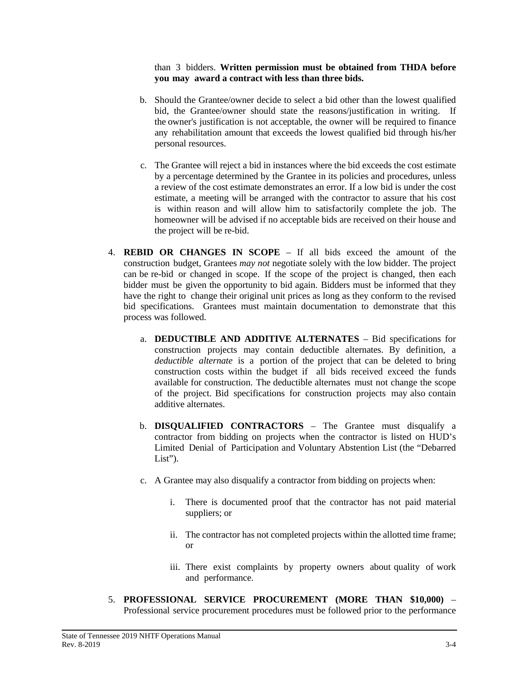#### than 3 bidders. **Written permission must be obtained from THDA before you may award a contract with less than three bids.**

- b. Should the Grantee/owner decide to select a bid other than the lowest qualified bid, the Grantee/owner should state the reasons/justification in writing. If the owner's justification is not acceptable, the owner will be required to finance any rehabilitation amount that exceeds the lowest qualified bid through his/her personal resources.
- c. The Grantee will reject a bid in instances where the bid exceeds the cost estimate by a percentage determined by the Grantee in its policies and procedures, unless a review of the cost estimate demonstrates an error. If a low bid is under the cost estimate, a meeting will be arranged with the contractor to assure that his cost is within reason and will allow him to satisfactorily complete the job. The homeowner will be advised if no acceptable bids are received on their house and the project will be re-bid.
- 4. **REBID OR CHANGES IN SCOPE** If all bids exceed the amount of the construction budget, Grantees *may not* negotiate solely with the low bidder. The project can be re-bid or changed in scope. If the scope of the project is changed, then each bidder must be given the opportunity to bid again. Bidders must be informed that they have the right to change their original unit prices as long as they conform to the revised bid specifications. Grantees must maintain documentation to demonstrate that this process was followed.
	- a. **DEDUCTIBLE AND ADDITIVE ALTERNATES** Bid specifications for construction projects may contain deductible alternates. By definition, a *deductible alternate* is a portion of the project that can be deleted to bring construction costs within the budget if all bids received exceed the funds available for construction. The deductible alternates must not change the scope of the project. Bid specifications for construction projects may also contain additive alternates.
	- b. **DISQUALIFIED CONTRACTORS** The Grantee must disqualify a contractor from bidding on projects when the contractor is listed on HUD's Limited Denial of Participation and Voluntary Abstention List (the "Debarred List").
	- c. A Grantee may also disqualify a contractor from bidding on projects when:
		- i. There is documented proof that the contractor has not paid material suppliers; or
		- ii. The contractor has not completed projects within the allotted time frame; or
		- iii. There exist complaints by property owners about quality of work and performance.
- 5. **PROFESSIONAL SERVICE PROCUREMENT (MORE THAN \$10,000)** Professional service procurement procedures must be followed prior to the performance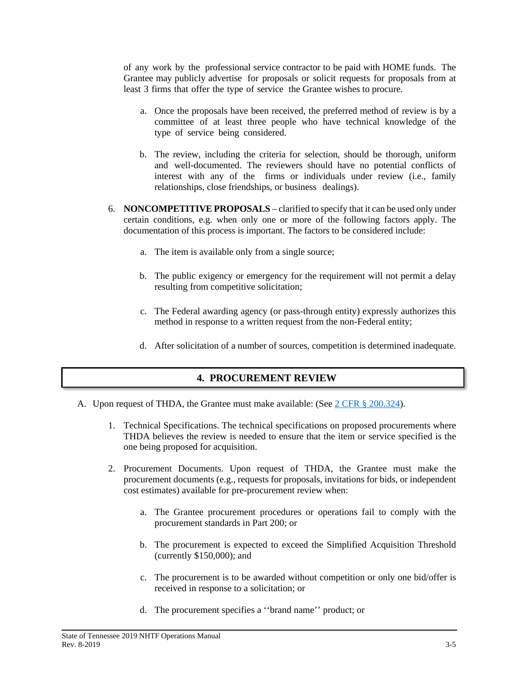of any work by the professional service contractor to be paid with HOME funds. The Grantee may publicly advertise for proposals or solicit requests for proposals from at least 3 firms that offer the type of service the Grantee wishes to procure.

- a. Once the proposals have been received, the preferred method of review is by a committee of at least three people who have technical knowledge of the type of service being considered.
- b. The review, including the criteria for selection, should be thorough, uniform and well-documented. The reviewers should have no potential conflicts of interest with any of the firms or individuals under review (i.e., family relationships, close friendships, or business dealings).
- 6. **NONCOMPETITIVE PROPOSALS** clarified to specify that it can be used only under certain conditions, e.g. when only one or more of the following factors apply. The documentation of this process is important. The factors to be considered include:
	- a. The item is available only from a single source;
	- b. The public exigency or emergency for the requirement will not permit a delay resulting from competitive solicitation;
	- c. The Federal awarding agency (or pass-through entity) expressly authorizes this method in response to a written request from the non-Federal entity;
	- d. After solicitation of a number of sources, competition is determined inadequate.

### **4. PROCUREMENT REVIEW**

- A. Upon request of THDA, the Grantee must make available: (See  $2 \text{ CFR } \S$  [200.324\)](https://www.gpo.gov/fdsys/pkg/CFR-2014-title2-vol1/pdf/CFR-2014-title2-vol1-sec200-324.pdf).
	- 1. Technical Specifications. The technical specifications on proposed procurements where THDA believes the review is needed to ensure that the item or service specified is the one being proposed for acquisition.
	- 2. Procurement Documents. Upon request of THDA, the Grantee must make the procurement documents (e.g., requests for proposals, invitations for bids, or independent cost estimates) available for pre-procurement review when:
		- a. The Grantee procurement procedures or operations fail to comply with the procurement standards in Part 200; or
		- b. The procurement is expected to exceed the Simplified Acquisition Threshold (currently \$150,000); and
		- c. The procurement is to be awarded without competition or only one bid/offer is received in response to a solicitation; or
		- d. The procurement specifies a ''brand name'' product; or